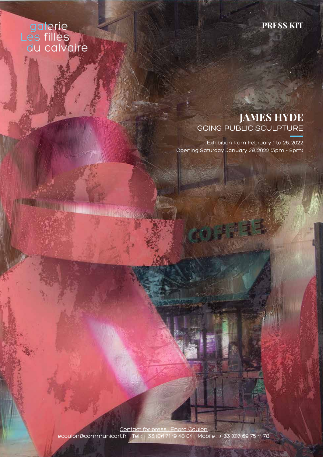## galerie<br>Les filles<br>du calvaire

**MALLANDR** 

**Contract Contract Contract Contract Contract Contract Contract Contract Contract Contract Contract Contract Contract Contract Contract Contract Contract Contract Contract Contract Contract Contract Contract Contract Contr** 

## **PRESS KIT**

## **JAMES HYDE** GOING PUBLIC SCULPTURE

Exhibition from February 1 to 26, 2022 Opening Saturday January 29, 2022 (3pm - 8pm)

Contact for press : Enora Coulon ecoulon@communicart.fr - Tel : + 33 (0)1 71 19 48 04 - Mobile : + 33 (0)7 69 75 11 78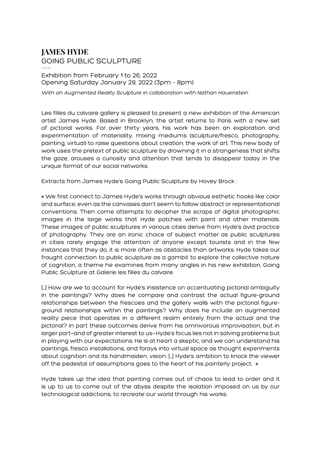## **JAMES HYDE** GOING PUBLIC SCULPTURE

#### Exhibition from February 1 to 26, 2022 Opening Saturday January 29, 2022 (3pm - 8pm)

With an Augmented Reality Sculpture in collaboration with Nathan Hauenstein

Les filles du calvaire gallery is pleased to present a new exhibition of the American artist James Hyde. Based in Brooklyn, the artist returns to Paris with a new set of pictorial works. For over thirty years, his work has been an exploration and experimentation of materiality, mixing mediums (sculpture/fresco, photography, painting, virtual) to raise questions about creation, the work of art. This new body of work uses the pretext of public sculpture by drowning it in a strangeness that shifts the gaze, arouses a curiosity and attention that tends to disappear today in the unique format of our social networks.

Extracts from James Hyde's Going Public Sculpture by Hovey Brock :

« We first connect to James Hyde's works through obvious esthetic hooks like color and surface, even as the canvases don't seem to follow abstract or representational conventions. Then come attempts to decipher the scraps of digital photographic images in the large works that Hyde patches with paint and other materials. These images of public sculptures in various cities derive from Hyde's avid practice of photography. They are an ironic choice of subject matter as public sculptures in cities rarely engage the attention of anyone except tourists and in the few instances that they do, it is more often as obstacles than artworks. Hyde takes our fraught connection to public sculpture as a gambit to explore the collective nature of cognition, a theme he examines from many angles in his new exhibition, Going Public Sculpture at Galerie les filles du calvaire.

[…] How are we to account for Hyde's insistence on accentuating pictorial ambiguity in the paintings? Why does he compare and contrast the actual figure-ground relationships between the frescoes and the gallery walls with the pictorial figureground relationships within the paintings? Why does he include an augmented reality piece that operates in a different realm entirely from the actual and the pictorial? In part these outcomes derive from his omnivorous improvisation, but in larger part—and of greater interest to us—Hyde's focus lies not in solving problems but in playing with our expectations. He is at heart a skeptic, and we can understand his paintings, fresco installations, and forays into virtual space as thought experiments about cognition and its handmaiden, vision. […] Hyde's ambition to knock the viewer off the pedestal of assumptions goes to the heart of his painterly project. »

Hyde takes up the idea that painting comes out of chaos to lead to order and it is up to us to come out of the abyss despite the isolation imposed on us by our technological addictions, to recreate our world through his works.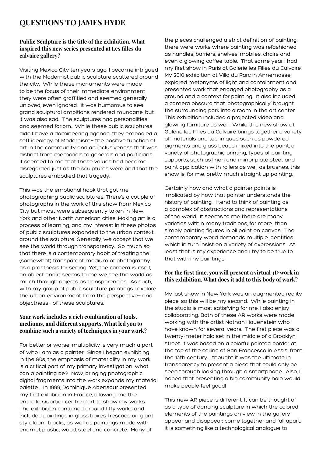### **QUESTIONS TO JAMES HYDE**

#### **Public Sculpture is the title of the exhibition. What inspired this new series presented at Les filles du calvaire gallery?**

Visiting Mexico City ten years ago, I became intrigued with the Modernist public sculpture scattered around the city. While these monuments were made to be the focus of their immediate environment they were often graffitied and seemed generally unloved, even ignored. It was humorous to see grand sculptural ambitions rendered mundane, but it was also sad. The sculptures had personalities and seemed forlorn. While these public sculptures didn't have a domineering agenda, they embodied a soft ideology of Modernism- the positive function of art in the community and an inclusiveness that was distinct from memorials to generals and politicians. It seemed to me that these values had become disregarded just as the sculptures were and that the sculptures embodied that tragedy.

This was the emotional hook that got me photographing public sculptures. There's a couple of photographs in the work of this show from Mexico City but most were subsequently taken in New York and other North American cities. Making art is a process of learning, and my interest in these photos of public sculptures expanded to the urban context around the sculpture. Generally, we accept that we see the world through transparency. So much so, that there is a contemporary habit of treating the (somewhat) transparent medium of photography as a prosthesis for seeing. Yet, the camera is, itself, an object and it seems to me we see the world as much through objects as transparencies. As such, with my group of public sculpture paintings I explore the urban environment from the perspective— and objectness— of these sculptures.

#### **Your work includes a rich combination of tools, mediums, and different supports. What led you to combine such a variety of techniques in your work?**

For better or worse, multiplicity is very much a part of who I am as a painter. Since I began exhibiting in the 80s, the emphasis of materiality in my work is a critical part of my primary investigation: what can a painting be? Now, bringing photographic digital fragments into the work expands my material palette . In 1999, Dominique Abensour presented my first exhibition in France, allowing me the entire le Quartier centre d'art to show my works. The exhibition contained around fifty works and included paintings in glass boxes, frescoes on giant styrofoam blocks, as well as paintings made with enamel, plastic, wood, steel and concrete. Many of

the pieces challenged a strict definition of painting; there were works where painting was refashioned as handles, barriers, shelves, mobiles, chairs and even a glowing coffee table. That same year I had my first show in Paris at Galerie les Filles du Calvaire. My 2010 exhibition at Villa du Parc in Annemasse explored metonyms of light and containment and presented work that engaged photography as a ground and a context for painting. It also included a camera obscura that 'photographically' brought the surrounding park into a room in the art center. This exhibition included a projected video and glowing furniture as well. While this new show at Galerie les Filles du Calvaire brings together a variety of materials and techniques such as powdered pigments and glass beads mixed into the paint, a variety of photographic printing, types of painting supports, such as linen and mirror plate steel, and paint application with rollers as well as brushes, this show is, for me, pretty much straight up painting.

Certainly how and what a painter paints is implicated by how that painter understands the history of painting. I tend to think of painting as a complex of abstractions and representations of the world. It seems to me there are many varieties within many traditions, far more than simply painting figures in oil paint on canvas. The contemporary world demands multiple identities which in turn insist on a variety of expressions. At least that is my experience and I try to be true to that with my paintings.

#### **For the first time, you will present a virtual 3D work in this exhibition. What does it add to this body of work?**

My last show in New York was an augmented reality piece, so this will be my second. While painting in the studio is most satisfying for me, I also enjoy collaborating. Both of these AR works were made working with the artist Nathan Hauenstein who I have known for several years. The first piece was a twenty-meter halo set in the middle of a Brooklyn street. It was based on a colorful painted border at the top of the ceiling of San Francesco in Assisi from the 13th century. I thought it was the ultimate in transparency to present a piece that could only be seen through looking through a smartphone. Also, I hoped that presenting a big community halo would make people feel good!

This new AR piece is different. It can be thought of as a type of dancing sculpture in which the colored elements of the paintings on view in the gallery appear and disappear; come together and fall apart. It is something like a technological analogue to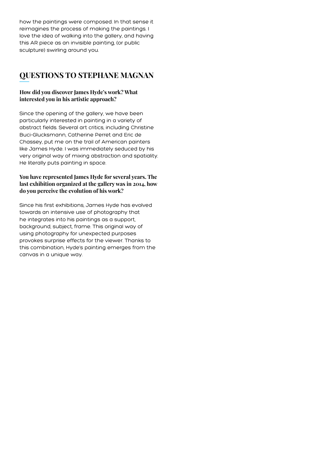how the paintings were composed. In that sense it reimagines the process of making the paintings. I love the idea of walking into the gallery, and having this AR piece as an invisible painting, (or public sculpture) swirling around you.

## **QUESTIONS TO STEPHANE MAGNAN**

#### **How did you discover James Hyde's work? What interested you in his artistic approach?**

Since the opening of the gallery, we have been particularly interested in painting in a variety of abstract fields. Several art critics, including Christine Buci-Glucksmann, Catherine Perret and Eric de Chassey, put me on the trail of American painters like James Hyde. I was immediately seduced by his very original way of mixing abstraction and spatiality. He literally puts painting in space.

#### **You have represented James Hyde for several years. The last exhibition organized at the gallery was in 2014, how do you perceive the evolution of his work?**

Since his first exhibitions, James Hyde has evolved towards an intensive use of photography that he integrates into his paintings as a support, background, subject, frame. This original way of using photography for unexpected purposes provokes surprise effects for the viewer. Thanks to this combination, Hyde's painting emerges from the canvas in a unique way.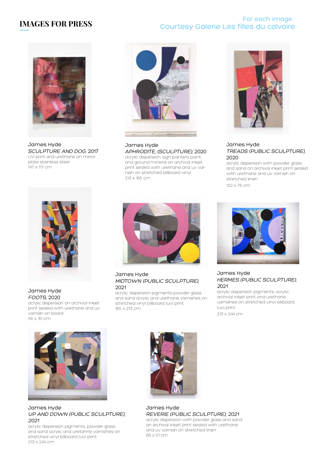## **IMAGES FOR PRESS**

#### For each image : Courtesy Galerie Les filles du calvaire



James Hyde SCULPTURE AND DOG, 2017 UV print and urethane on mirror plate stainless steel 147 x 117 cm



James Hyde APHRODITE, (SCULPTURE), 2020 acrylic dispersion, sign painters paint, and ground mineral on archival inkjet

print sealed with urethane and uv varnish on stretched billboard vinyl. 213 x 165 cm



#### James Hyde TREADS (PUBLIC SCULPTURE), 2020

acrylic dispersion with powder glass and sand on archival inkjet print sealed with urethane and uv varnish on stretched linen 122 x 76 cm



James Hyde FOOTS, 2020

acrylic dispersion on archival inkjet print sealed with urethane and uv varnish on board 56 x 30 cm



James Hyde MIDTOWN (PUBLIC SCULPTURE), 2021

acrylic dispersion pigments powder glass and sand acrylic and urethane varnishes on stretched vinyl billboard (uv) print 165 x 213 cm



James Hyde HERMES (PUBLIC SCULPTURE), <sup>2</sup>021

acrylic dispersion pigments, acrylic, archival inkjet print and urethane varnishes on stretched vinyl billboard (uv) print

213 x 244 cm



James Hyde UP AND DOWN (PUBLIC SCULPTURE), 2021

acrylic dispersion pigments, powder glass and sand acrylic and uretahne varnishes on stretched vinyl billboard (uv) print 213 x 244 cm



James Hyde REVERIE (PUBLIC SCULPTURE), 2021 acrylic dispersion with powder glass and sand on archival inkjet print sealed with urethane and uv varnish on stretched linen 68 x 51 cm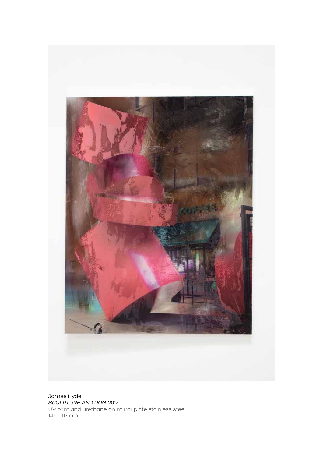

James Hyde SCULPTURE AND DOG, 2017 UV print and urethane on mirror plate stainless steel 147 x 117 cm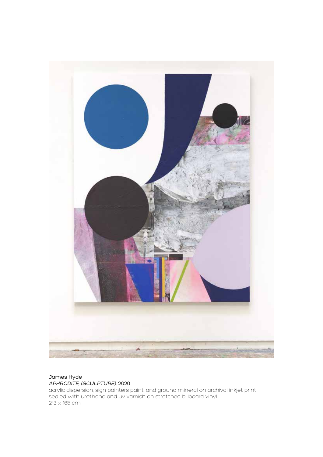

#### James Hyde APHRODITE, (SCULPTURE), 2020

acrylic dispersion, sign painters paint, and ground mineral on archival inkjet print sealed with urethane and uv varnish on stretched billboard vinyl. 213 x 165 cm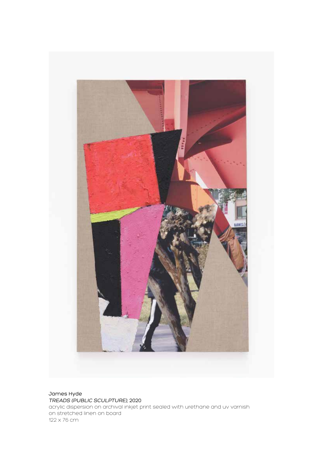

James Hyde TREADS (PUBLIC SCULPTURE), 2020 acrylic dispersion on archival inkjet print sealed with urethane and uv varnish on stretched linen on board 122 x 76 cm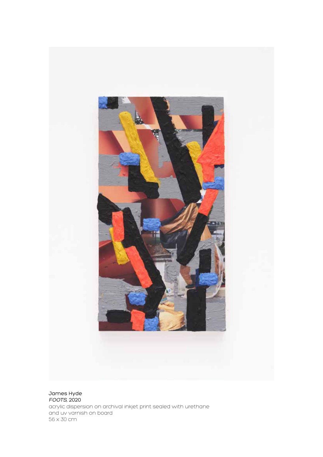

James Hyde FOOTS, 2020 acrylic dispersion on archival inkjet print sealed with urethane and uv varnish on board 56 x 30 cm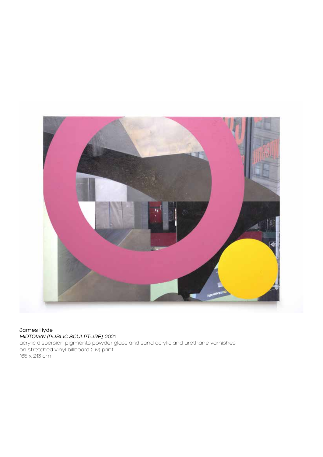

#### James Hyde MIDTOWN (PUBLIC SCULPTURE), 2021

acrylic dispersion pigments powder glass and sand acrylic and urethane varnishes on stretched vinyl billboard (uv) print 165 x 213 cm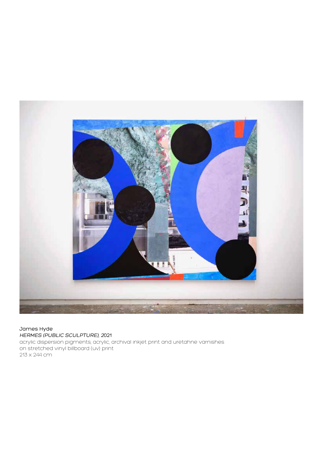

#### James Hyde HERMES (PUBLIC SCULPTURE), 2021

acrylic dispersion pigments, acrylic, archival inkjet print and uretahne varnishes on stretched vinyl billboard (uv) print 213 x 244 cm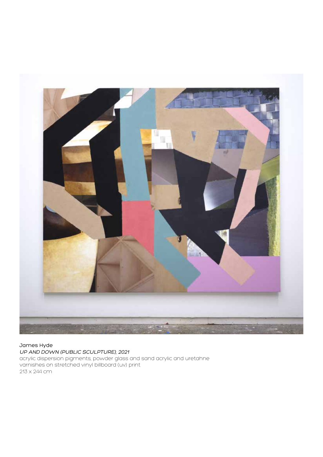

#### James Hyde UP AND DOWN (PUBLIC SCULPTURE), 2021

acrylic dispersion pigments, powder glass and sand acrylic and uretahne varnishes on stretched vinyl billboard (uv) print 213 x 244 cm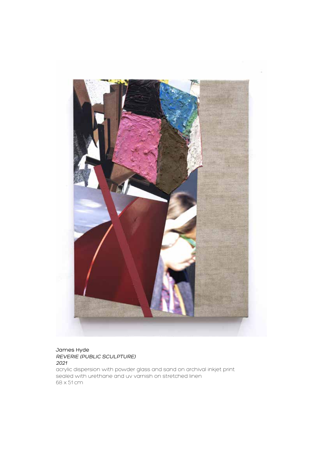

#### James Hyde REVERIE (PUBLIC SCULPTURE) 2021

acrylic dispersion with powder glass and sand on archival inkjet print sealed with urethane and uv varnish on stretched linen 68 x 51 cm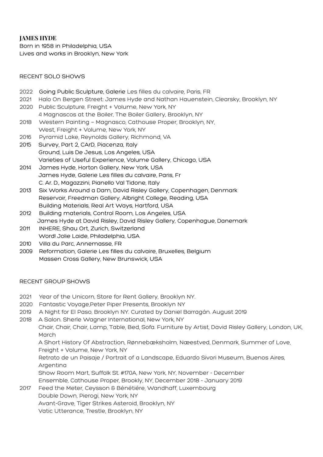#### **JAMES HYDE**

Born in 1958 in Philadelphia, USA Lives and works in Brooklyn, New York

#### RECENT SOLO SHOWS

- 2022 Going Public Sculpture, Galerie Les filles du calvaire, Paris, FR
- 2021 Halo On Bergen Street: James Hyde and Nathan Hauenstein, Clearsky, Brooklyn, NY
- 2020 Public Sculpture, Freight + Volume, New York, NY

4 Magnascos at the Boiler, The Boiler Gallery, Brooklyn, NY

- 2018 Western Painting Magnasco, Cathouse Proper, Brooklyn, NY, West, Freight + Volume, New York, NY
- 2016 Pyramid Lake, Reynolds Gallery, Richmond, VA
- 2015 Survey, Part 2, CArD, Piacenza, Italy Ground, Luis De Jesus, Los Angeles, USA Varieties of Useful Experience, Volume Gallery, Chicago, USA
- 2014 James Hyde, Horton Gallery, New York, USA James Hyde, Galerie Les filles du calvaire, Paris, Fr C. Ar. D., Magazzini, Pianello Val Tidone, Italy
- 2013 Six Works Around a Dam, David Risley Gallery, Copenhagen, Denmark Reservoir, Freedman Gallery, Albright College, Reading, USA Building Materials, Real Art Ways, Hartford, USA
- 2012 Building materials, Control Room, Los Angeles, USA James Hyde at David Risley, David Risley Gallery, Copenhague, Danemark
- 2011 INHERE, Shau Ort, Zurich, Switzerland Word! Jolie Laide, Philadelphia, USA
- 2010 Villa du Parc, Annemasse, FR
- 2009 Reformation, Galerie Les filles du calvaire, Bruxelles, Belgium Massen Cross Gallery, New Brunswick, USA

#### RECENT GROUP SHOWS

- 2021 Year of the Unicorn, Store for Rent Gallery, Brooklyn NY.
- 2020 Fantastic Voyage,Peter Piper Presents, Brooklyn NY
- 2019 A Night for El Paso, Brooklyn NY. Curated by Daniel Barragán. August 2019
- 2018 A Salon. Sherle Wagner International, New York, NY

Chair, Chair, Chair, Lamp, Table, Bed, Sofa. Furniture by Artist, David Risley Gallery, London, UK, March

A Short History Of Abstraction, Rønnebæksholm, Næestved, Denmark, Summer of Love, Freight + Volume, New York, NY

Retrato de un Paisaje / Portrait of a Landscape, Eduardo Sivori Museum, Buenos Aires, Argentina

Show Room Mart, Suffolk St. #170A, New York, NY, November - December

Ensemble, Cathouse Proper, Brookly, NY, December 2018 - January 2019

2017 Feed the Meter, Ceysson & Bénétiére, Wandhaff, Luxembourg

Double Down, Pierogi, New York, NY

Avant-Grave, Tiger Strikes Asteroid, Brooklyn, NY

Vatic Utterance, Trestle, Brooklyn, NY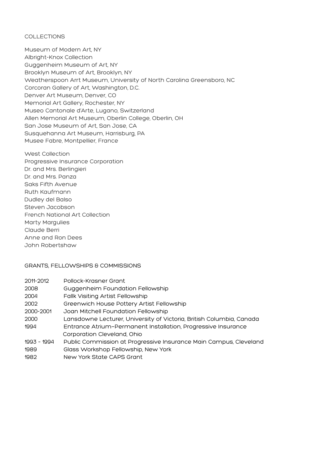#### COLLECTIONS

Museum of Modern Art, NY Albright-Knox Collection Guggenheim Museum of Art, NY Brooklyn Museum of Art, Brooklyn, NY Weatherspoon Arrt Museum, University of North Carolina Greensboro, NC Corcoran Gallery of Art, Washington, D.C. Denver Art Museum, Denver, CO Memorial Art Gallery, Rochester, NY Museo Cantonale d'Arte, Lugano, Switzerland Allen Memorial Art Museum, Oberlin College, Oberlin, OH San Jose Museum of Art, San Jose, CA Susquehanna Art Museum, Harrisburg, PA Musee Fabre, Montpellier, France

West Collection Progressive Insurance Corporation Dr. and Mrs. Berlingieri Dr. and Mrs. Panza Saks Fifth Avenue Ruth Kaufmann Dudley del Balso Steven Jacobson French National Art Collection Marty Margulies Claude Berri Anne and Ron Dees John Robertshaw

#### GRANTS, FELLOWSHIPS & COMMISSIONS

| 2011-2012   | Pollock-Krasner Grant                                                |
|-------------|----------------------------------------------------------------------|
| 2008        | Guggenheim Foundation Fellowship                                     |
| 2004        | <b>Fallk Visiting Artist Fellowship</b>                              |
| 2002        | Greenwich House Pottery Artist Fellowship                            |
| 2000-2001   | Joan Mitchell Foundation Fellowship                                  |
| 2000        | Lansdowne Lecturer, University of Victoria, British Columbia, Canada |
| 1994        | Entrance Atrium-Permanent Installation, Progressive Insurance        |
|             | Corporation Cleveland, Ohio                                          |
| 1993 - 1994 | Public Commission at Progressive Insurance Main Campus, Cleveland    |
| 1989        | Glass Workshop Fellowship, New York                                  |
| 1982        | New York State CAPS Grant                                            |
|             |                                                                      |